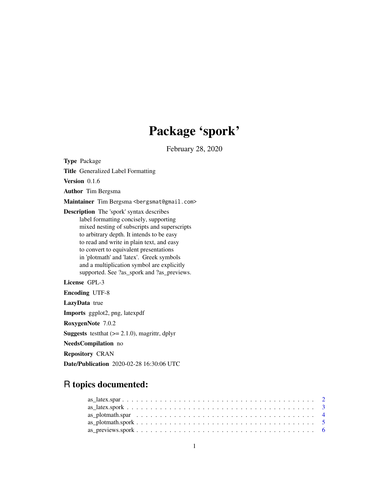## Package 'spork'

February 28, 2020

<span id="page-0-0"></span>Type Package

Title Generalized Label Formatting

Version 0.1.6

Author Tim Bergsma

Maintainer Tim Bergsma <br/>bergsmat@gmail.com>

Description The 'spork' syntax describes label formatting concisely, supporting mixed nesting of subscripts and superscripts to arbitrary depth. It intends to be easy to read and write in plain text, and easy to convert to equivalent presentations in 'plotmath' and 'latex'. Greek symbols and a multiplication symbol are explicitly supported. See ?as\_spork and ?as\_previews.

License GPL-3

Encoding UTF-8

LazyData true

Imports ggplot2, png, latexpdf

RoxygenNote 7.0.2

**Suggests** test that  $(>= 2.1.0)$ , magnittr, dplyr

NeedsCompilation no

Repository CRAN

Date/Publication 2020-02-28 16:30:06 UTC

### R topics documented: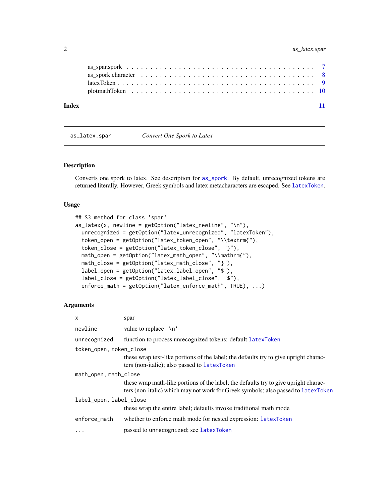#### <span id="page-1-0"></span>2 as\_latex.spar

| Index |  |  |  |  |  |  |  |  |  |  |  |  |  |  |  |  |  |  |
|-------|--|--|--|--|--|--|--|--|--|--|--|--|--|--|--|--|--|--|

<span id="page-1-1"></span>as\_latex.spar *Convert One Spork to Latex*

#### Description

Converts one spork to latex. See description for [as\\_spork](#page-0-0). By default, unrecognized tokens are returned literally. However, Greek symbols and latex metacharacters are escaped. See [latexToken](#page-8-1).

#### Usage

```
## S3 method for class 'spar'
as_latex(x, newline = getOption("latex_newline", "\n"),
 unrecognized = getOption("latex_unrecognized", "latexToken"),
  token_open = getOption("latex_token_open", "\\textrm{"),
 token_close = getOption("latex_token_close", "}"),
 math_open = getOption("latex_math_open", "\\mathrm{"),
  math_close = getOption("latex_math_close", "}"),
  label_open = getOption("latex_label_open", "$"),
 label_close = getOption("latex_label_close", "$"),
  enforce_math = getOption("latex_enforce_math", TRUE), ...)
```
#### Arguments

| X                       | spar                                                                                                                                                                      |
|-------------------------|---------------------------------------------------------------------------------------------------------------------------------------------------------------------------|
| newline                 | value to replace '\n'                                                                                                                                                     |
| unrecognized            | function to process unrecognized tokens: default latexToken                                                                                                               |
| token_open, token_close |                                                                                                                                                                           |
|                         | these wrap text-like portions of the label; the defaults try to give upright charac-<br>ters (non-italic); also passed to latexToken                                      |
| math_open, math_close   |                                                                                                                                                                           |
|                         | these wrap math-like portions of the label; the defaults try to give upright charac-<br>ters (non-italic) which may not work for Greek symbols; also passed to latexToken |
| label_open, label_close |                                                                                                                                                                           |
|                         | these wrap the entire label; defaults invoke traditional math mode                                                                                                        |
| enforce_math            | whether to enforce math mode for nested expression: latexToken                                                                                                            |
| $\cdots$                | passed to unrecognized; see latexToken                                                                                                                                    |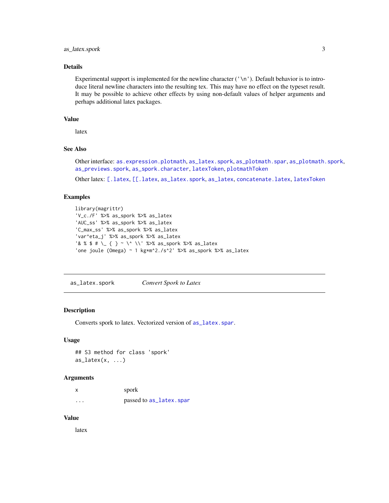#### <span id="page-2-0"></span>as\_latex.spork 3

#### Details

Experimental support is implemented for the newline character  $('\n')$ . Default behavior is to introduce literal newline characters into the resulting tex. This may have no effect on the typeset result. It may be possible to achieve other effects by using non-default values of helper arguments and perhaps additional latex packages.

#### Value

latex

#### See Also

Other interface: [as.expression.plotmath](#page-0-0), [as\\_latex.spork](#page-2-1), [as\\_plotmath.spar](#page-3-1), [as\\_plotmath.spork](#page-4-1), [as\\_previews.spork](#page-5-1), [as\\_spork.character](#page-7-1), [latexToken](#page-8-1), [plotmathToken](#page-9-1)

Other latex: [\[.latex](#page-0-0), [\[\[.latex](#page-0-0), [as\\_latex.spork](#page-2-1), [as\\_latex](#page-0-0), [concatenate.latex](#page-0-0), [latexToken](#page-8-1)

#### Examples

```
library(magrittr)
'V_c./F' %>% as_spork %>% as_latex
'AUC_ss' %>% as_spork %>% as_latex
'C_max_ss' %>% as_spork %>% as_latex
'var^eta_j' %>% as_spork %>% as_latex
'& % $ # \_ { } ~ \^ \\' %>% as_spork %>% as_latex
'one joule (Omega) ~ 1 kg*m^2./s^2' %>% as_spork %>% as_latex
```
<span id="page-2-1"></span>as\_latex.spork *Convert Spork to Latex*

#### Description

Converts spork to latex. Vectorized version of [as\\_latex.spar](#page-1-1).

#### Usage

```
## S3 method for class 'spork'
as\_latex(x, \ldots)
```
#### Arguments

| X        | spork                   |
|----------|-------------------------|
| $\cdots$ | passed to as_latex.spar |

#### Value

latex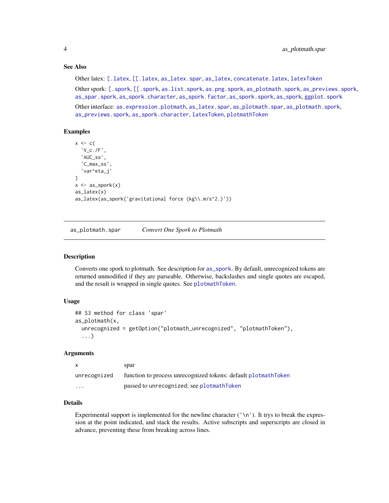#### See Also

Other latex: [\[.latex](#page-0-0), [\[\[.latex](#page-0-0), [as\\_latex.spar](#page-1-1), [as\\_latex](#page-0-0), [concatenate.latex](#page-0-0), [latexToken](#page-8-1)

Other spork: [\[.spork](#page-0-0), [\[\[.spork](#page-0-0), [as.list.spork](#page-0-0), [as.png.spork](#page-0-0), [as\\_plotmath.spork](#page-4-1), [as\\_previews.spork](#page-5-1), [as\\_spar.spork](#page-6-1), [as\\_spork.character](#page-7-1), [as\\_spork.factor](#page-0-0), [as\\_spork.spork](#page-0-0), [as\\_spork](#page-0-0), [ggplot.spork](#page-0-0)

Other interface: [as.expression.plotmath](#page-0-0), [as\\_latex.spar](#page-1-1), [as\\_plotmath.spar](#page-3-1), [as\\_plotmath.spork](#page-4-1), [as\\_previews.spork](#page-5-1), [as\\_spork.character](#page-7-1), [latexToken](#page-8-1), [plotmathToken](#page-9-1)

#### Examples

```
x \leftarrow c (
  'V_c./F',
  'AUC_ss',
  'C_max_ss',
  'var^eta_j'
)
x \leftarrow as\_spork(x)as_latex(x)
as_latex(as_spork('gravitational force (kg\\.m/s^2.)'))
```
<span id="page-3-1"></span>as\_plotmath.spar *Convert One Spork to Plotmath*

#### Description

Converts one spork to plotmath. See description for [as\\_spork](#page-0-0). By default, unrecognized tokens are returned unmodified if they are parseable. Otherwise, backslashes and single quotes are escaped, and the result is wrapped in single quotes. See [plotmathToken](#page-9-1).

#### Usage

```
## S3 method for class 'spar'
as_plotmath(x,
  unrecognized = getOption("plotmath_unrecognized", "plotmathToken"),
  ...)
```
#### Arguments

| x            | spar                                                           |
|--------------|----------------------------------------------------------------|
| unrecognized | function to process unrecognized tokens: default plotmathToken |
| $\cdot$      | passed to unrecognized; see plotmathToken                      |

#### Details

Experimental support is implemented for the newline character ('\n'). It trys to break the expression at the point indicated, and stack the results. Active subscripts and superscripts are closed in advance, preventing these from breaking across lines.

<span id="page-3-0"></span>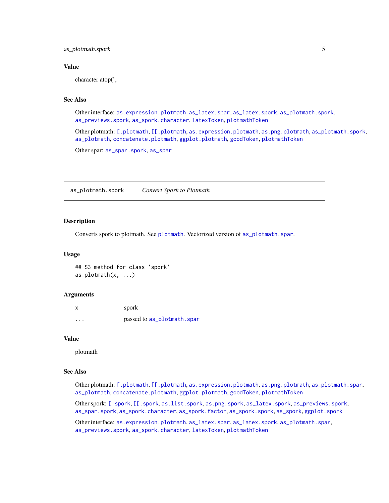<span id="page-4-0"></span>as\_plotmath.spork 5

#### Value

character atop(',

#### See Also

Other interface: [as.expression.plotmath](#page-0-0), [as\\_latex.spar](#page-1-1), [as\\_latex.spork](#page-2-1), [as\\_plotmath.spork](#page-4-1), [as\\_previews.spork](#page-5-1), [as\\_spork.character](#page-7-1), [latexToken](#page-8-1), [plotmathToken](#page-9-1)

Other plotmath: [\[.plotmath](#page-0-0), [\[\[.plotmath](#page-0-0), [as.expression.plotmath](#page-0-0), [as.png.plotmath](#page-0-0), [as\\_plotmath.spork](#page-4-1), [as\\_plotmath](#page-0-0), [concatenate.plotmath](#page-0-0), [ggplot.plotmath](#page-0-0), [goodToken](#page-0-0), [plotmathToken](#page-9-1)

Other spar: [as\\_spar.spork](#page-6-1), [as\\_spar](#page-0-0)

<span id="page-4-1"></span>as\_plotmath.spork *Convert Spork to Plotmath*

#### Description

Converts spork to [plotmath](#page-0-0). See plotmath. Vectorized version of [as\\_plotmath.spar](#page-3-1).

#### Usage

## S3 method for class 'spork' as\_plotmath(x, ...)

#### Arguments

|          | spork                      |
|----------|----------------------------|
| $\cdots$ | passed to as_plotmath.spar |

#### Value

plotmath

#### See Also

Other plotmath: [\[.plotmath](#page-0-0), [\[\[.plotmath](#page-0-0), [as.expression.plotmath](#page-0-0), [as.png.plotmath](#page-0-0), [as\\_plotmath.spar](#page-3-1), [as\\_plotmath](#page-0-0), [concatenate.plotmath](#page-0-0), [ggplot.plotmath](#page-0-0), [goodToken](#page-0-0), [plotmathToken](#page-9-1)

Other spork: [\[.spork](#page-0-0), [\[\[.spork](#page-0-0), [as.list.spork](#page-0-0), [as.png.spork](#page-0-0), [as\\_latex.spork](#page-2-1), [as\\_previews.spork](#page-5-1), [as\\_spar.spork](#page-6-1), [as\\_spork.character](#page-7-1), [as\\_spork.factor](#page-0-0), [as\\_spork.spork](#page-0-0), [as\\_spork](#page-0-0), [ggplot.spork](#page-0-0)

Other interface: [as.expression.plotmath](#page-0-0), [as\\_latex.spar](#page-1-1), [as\\_latex.spork](#page-2-1), [as\\_plotmath.spar](#page-3-1), [as\\_previews.spork](#page-5-1), [as\\_spork.character](#page-7-1), [latexToken](#page-8-1), [plotmathToken](#page-9-1)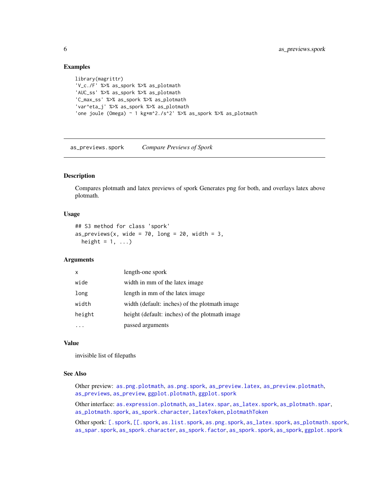#### Examples

```
library(magrittr)
'V_c./F' %>% as_spork %>% as_plotmath
'AUC_ss' %>% as_spork %>% as_plotmath
'C_max_ss' %>% as_spork %>% as_plotmath
'var^eta_j' %>% as_spork %>% as_plotmath
'one joule (Omega) ~ 1 kg*m^2./s^2' %>% as_spork %>% as_plotmath
```
<span id="page-5-1"></span>as\_previews.spork *Compare Previews of Spork*

#### Description

Compares plotmath and latex previews of spork Generates png for both, and overlays latex above plotmath.

#### Usage

```
## S3 method for class 'spork'
as\_previous(x, wide = 70, long = 20, width = 3,height = 1, ...)
```
#### Arguments

| X      | length-one spork                               |
|--------|------------------------------------------------|
| wide   | width in mm of the latex image.                |
| long   | length in mm of the latex image                |
| width  | width (default: inches) of the plotmath image  |
| height | height (default: inches) of the plotmath image |
|        | passed arguments                               |

#### Value

invisible list of filepaths

#### See Also

Other preview: [as.png.plotmath](#page-0-0), [as.png.spork](#page-0-0), [as\\_preview.latex](#page-0-0), [as\\_preview.plotmath](#page-0-0), [as\\_previews](#page-0-0), [as\\_preview](#page-0-0), [ggplot.plotmath](#page-0-0), [ggplot.spork](#page-0-0)

Other interface: [as.expression.plotmath](#page-0-0), [as\\_latex.spar](#page-1-1), [as\\_latex.spork](#page-2-1), [as\\_plotmath.spar](#page-3-1), [as\\_plotmath.spork](#page-4-1), [as\\_spork.character](#page-7-1), [latexToken](#page-8-1), [plotmathToken](#page-9-1)

Other spork: [\[.spork](#page-0-0), [\[\[.spork](#page-0-0), [as.list.spork](#page-0-0), [as.png.spork](#page-0-0), [as\\_latex.spork](#page-2-1), [as\\_plotmath.spork](#page-4-1), [as\\_spar.spork](#page-6-1), [as\\_spork.character](#page-7-1), [as\\_spork.factor](#page-0-0), [as\\_spork.spork](#page-0-0), [as\\_spork](#page-0-0), [ggplot.spork](#page-0-0)

<span id="page-5-0"></span>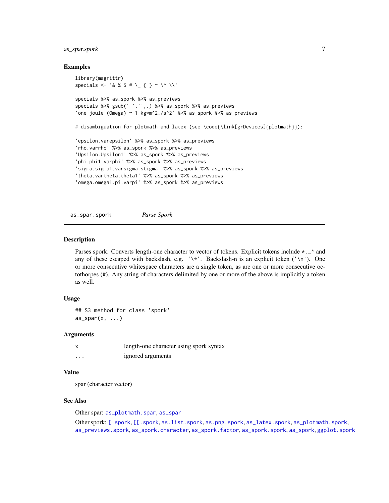#### <span id="page-6-0"></span>as\_spar.spork 7

#### Examples

```
library(magrittr)
specials <- '& % $ # \_ { } ~ \^ \\'
specials %>% as_spork %>% as_previews
specials %>% gsub(' ','',.) %>% as_spork %>% as_previews
'one joule (Omega) ~ 1 kg*m^2./s^2' %>% as_spork %>% as_previews
# disambiguation for plotmath and latex (see \code{\link[grDevices]{plotmath}}):
'epsilon.varepsilon' %>% as_spork %>% as_previews
'rho.varrho' %>% as_spork %>% as_previews
'Upsilon.Upsilon1' %>% as_spork %>% as_previews
'phi.phi1.varphi' %>% as_spork %>% as_previews
'sigma.sigma1.varsigma.stigma' %>% as_spork %>% as_previews
'theta.vartheta.theta1' %>% as_spork %>% as_previews
'omega.omega1.pi.varpi' %>% as_spork %>% as_previews
```
<span id="page-6-1"></span>as\_spar.spork *Parse Spork*

#### Description

Parses spork. Converts length-one character to vector of tokens. Explicit tokens include  $\star \_$  and any of these escaped with backslash, e.g.  $\forall x'$ . Backslash-n is an explicit token ( $\langle \n\rangle$ n'). One or more consecutive whitespace characters are a single token, as are one or more consecutive octothorpes (#). Any string of characters delimited by one or more of the above is implicitly a token as well.

#### Usage

```
## S3 method for class 'spork'
as\_spar(x, \ldots)
```
#### Arguments

|   | length-one character using spork syntax |
|---|-----------------------------------------|
| . | ignored arguments                       |

#### Value

spar (character vector)

#### See Also

Other spar: [as\\_plotmath.spar](#page-3-1), [as\\_spar](#page-0-0)

Other spork: [\[.spork](#page-0-0), [\[\[.spork](#page-0-0), [as.list.spork](#page-0-0), [as.png.spork](#page-0-0), [as\\_latex.spork](#page-2-1), [as\\_plotmath.spork](#page-4-1), [as\\_previews.spork](#page-5-1), [as\\_spork.character](#page-7-1), [as\\_spork.factor](#page-0-0), [as\\_spork.spork](#page-0-0), [as\\_spork](#page-0-0), [ggplot.spork](#page-0-0)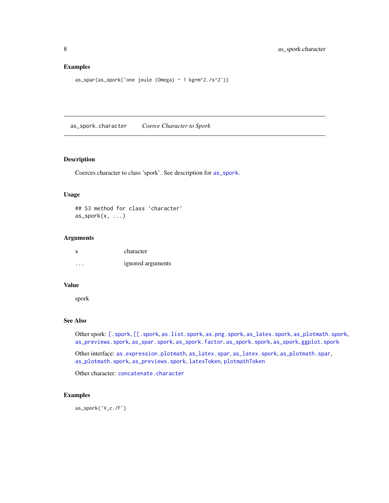#### <span id="page-7-0"></span>Examples

```
as_spar(as_spork('one joule (Omega) ~ 1 kg*m^2./s^2'))
```
<span id="page-7-1"></span>as\_spork.character *Coerce Character to Spork*

#### Description

Coerces character to class 'spork'. See description for [as\\_spork](#page-0-0).

#### Usage

## S3 method for class 'character' as\_spork(x, ...)

#### Arguments

| x        | character         |
|----------|-------------------|
| $\cdots$ | ignored arguments |

#### Value

spork

#### See Also

Other spork: [\[.spork](#page-0-0), [\[\[.spork](#page-0-0), [as.list.spork](#page-0-0), [as.png.spork](#page-0-0), [as\\_latex.spork](#page-2-1), [as\\_plotmath.spork](#page-4-1), [as\\_previews.spork](#page-5-1), [as\\_spar.spork](#page-6-1), [as\\_spork.factor](#page-0-0), [as\\_spork.spork](#page-0-0), [as\\_spork](#page-0-0), [ggplot.spork](#page-0-0)

Other interface: [as.expression.plotmath](#page-0-0), [as\\_latex.spar](#page-1-1), [as\\_latex.spork](#page-2-1), [as\\_plotmath.spar](#page-3-1), [as\\_plotmath.spork](#page-4-1), [as\\_previews.spork](#page-5-1), [latexToken](#page-8-1), [plotmathToken](#page-9-1)

Other character: [concatenate.character](#page-0-0)

#### Examples

as\_spork('V\_c./F')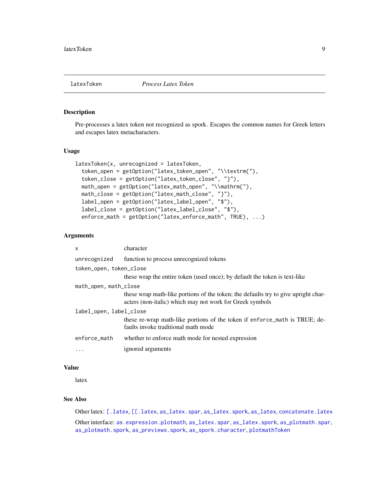<span id="page-8-1"></span><span id="page-8-0"></span>

#### Description

Pre-processes a latex token not recognized as spork. Escapes the common names for Greek letters and escapes latex metacharacters.

#### Usage

```
latexToken(x, unrecognized = latexToken,
  token_open = getOption("latex_token_open", "\\textrm{"),
  token_close = getOption("latex_token_close", "}"),
 math_open = getOption("latex_math_open", "\\mathrm{"),
 math_close = getOption("latex_math_close", "}"),
 label_open = getOption("latex_label_open", "$"),
  label_close = getOption("latex_label_close", "$"),
 enforce_math = getOption("latex_enforce_math", TRUE), ...)
```
#### Arguments

| $\mathsf{x}$            | character                                                                                                                                      |
|-------------------------|------------------------------------------------------------------------------------------------------------------------------------------------|
| unrecognized            | function to process unrecognized tokens                                                                                                        |
| token_open, token_close |                                                                                                                                                |
|                         | these wrap the entire token (used once); by default the token is text-like                                                                     |
| math_open, math_close   |                                                                                                                                                |
|                         | these wrap math-like portions of the token; the defaults try to give upright char-<br>acters (non-italic) which may not work for Greek symbols |
| label_open, label_close |                                                                                                                                                |
|                         | these re-wrap math-like portions of the token if enforce_math is TRUE; de-<br>faults invoke traditional math mode                              |
| enforce math            | whether to enforce math mode for nested expression                                                                                             |
| $\cdots$                | ignored arguments                                                                                                                              |

#### Value

latex

#### See Also

Other latex: [\[.latex](#page-0-0), [\[\[.latex](#page-0-0), [as\\_latex.spar](#page-1-1), [as\\_latex.spork](#page-2-1), [as\\_latex](#page-0-0), [concatenate.latex](#page-0-0)

Other interface: [as.expression.plotmath](#page-0-0), [as\\_latex.spar](#page-1-1), [as\\_latex.spork](#page-2-1), [as\\_plotmath.spar](#page-3-1), [as\\_plotmath.spork](#page-4-1), [as\\_previews.spork](#page-5-1), [as\\_spork.character](#page-7-1), [plotmathToken](#page-9-1)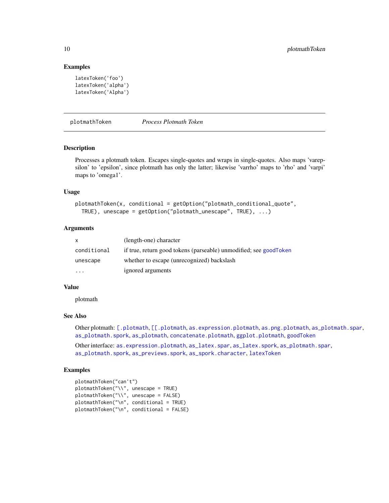#### Examples

```
latexToken('foo')
latexToken('alpha')
latexToken('Alpha')
```
<span id="page-9-1"></span>plotmathToken *Process Plotmath Token*

#### Description

Processes a plotmath token. Escapes single-quotes and wraps in single-quotes. Also maps 'varepsilon' to 'epsilon', since plotmath has only the latter; likewise 'varrho' maps to 'rho' and 'varpi' maps to 'omega1'.

#### Usage

```
plotmathToken(x, conditional = getOption("plotmath_conditional_quote",
  TRUE), unescape = getOption("plotmath_unescape", TRUE), ...)
```
#### Arguments

| $\mathbf{x}$ | (length-one) character                                            |
|--------------|-------------------------------------------------------------------|
| conditional  | if true, return good tokens (parseable) unmodified; see goodToken |
| unescape     | whether to escape (unrecognized) backslash                        |
| .            | ignored arguments                                                 |

#### Value

plotmath

#### See Also

Other plotmath: [\[.plotmath](#page-0-0), [\[\[.plotmath](#page-0-0), [as.expression.plotmath](#page-0-0), [as.png.plotmath](#page-0-0), [as\\_plotmath.spar](#page-3-1), [as\\_plotmath.spork](#page-4-1), [as\\_plotmath](#page-0-0), [concatenate.plotmath](#page-0-0), [ggplot.plotmath](#page-0-0), [goodToken](#page-0-0)

Other interface: [as.expression.plotmath](#page-0-0), [as\\_latex.spar](#page-1-1), [as\\_latex.spork](#page-2-1), [as\\_plotmath.spar](#page-3-1), [as\\_plotmath.spork](#page-4-1), [as\\_previews.spork](#page-5-1), [as\\_spork.character](#page-7-1), [latexToken](#page-8-1)

#### Examples

```
plotmathToken("can't")
plotmathToken("\\", unescape = TRUE)
plotmathToken("\\", unescape = FALSE)
plotmathToken("\n", conditional = TRUE)
plotmathToken("\n", conditional = FALSE)
```
<span id="page-9-0"></span>